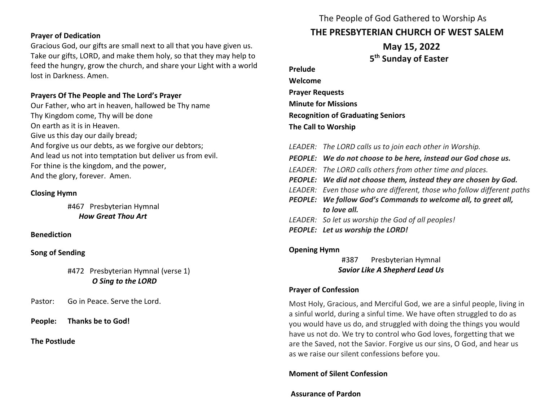## **Prayer of Dedication**

Gracious God, our gifts are small next to all that you have given us. Take our gifts, LORD, and make them holy, so that they may help to feed the hungry, grow the church, and share your Light with a world lost in Darkness. Amen.

#### **Prayers Of The People and The Lord's Prayer**

Our Father, who art in heaven, hallowed be Thy name Thy Kingdom come, Thy will be done On earth as it is in Heaven. Give us this day our daily bread; And forgive us our debts, as we forgive our debtors; And lead us not into temptation but deliver us from evil. For thine is the kingdom, and the power, And the glory, forever. Amen.

#### **Closing Hymn**

#467 Presbyterian Hymnal  *How Great Thou Art*

#### **Benediction**

#### **Song of Sending**

# #472 Presbyterian Hymnal (verse 1) *O Sing to the LORD*

Pastor: Go in Peace. Serve the Lord.

**People: Thanks be to God!** 

## **The Postlude**

# The People of God Gathered to Worship As **THE PRESBYTERIAN CHURCH OF WEST SALEM**

 **May 15, 2022 5 th Sunday of Easter**

**Prelude Welcome Prayer Requests Minute for Missions Recognition of Graduating Seniors The Call to Worship**

| LEADER: The LORD calls us to join each other in Worship.               |
|------------------------------------------------------------------------|
| PEOPLE: We do not choose to be here, instead our God chose us.         |
| LEADER: The LORD calls others from other time and places.              |
| PEOPLE: We did not choose them, instead they are chosen by God.        |
| LEADER: Even those who are different, those who follow different paths |
| PEOPLE: We follow God's Commands to welcome all, to greet all,         |
| to love all.                                                           |
| LEADER: So let us worship the God of all peoples!                      |
| PEOPLE: Let us worship the LORD!                                       |
|                                                                        |

## **Opening Hymn**

#387 Presbyterian Hymnal *Savior Like A Shepherd Lead Us*

#### **Prayer of Confession**

Most Holy, Gracious, and Merciful God, we are a sinful people, living in a sinful world, during a sinful time. We have often struggled to do as you would have us do, and struggled with doing the things you would have us not do. We try to control who God loves, forgetting that we are the Saved, not the Savior. Forgive us our sins, O God, and hear us as we raise our silent confessions before you.

## **Moment of Silent Confession**

## **Assurance of Pardon**